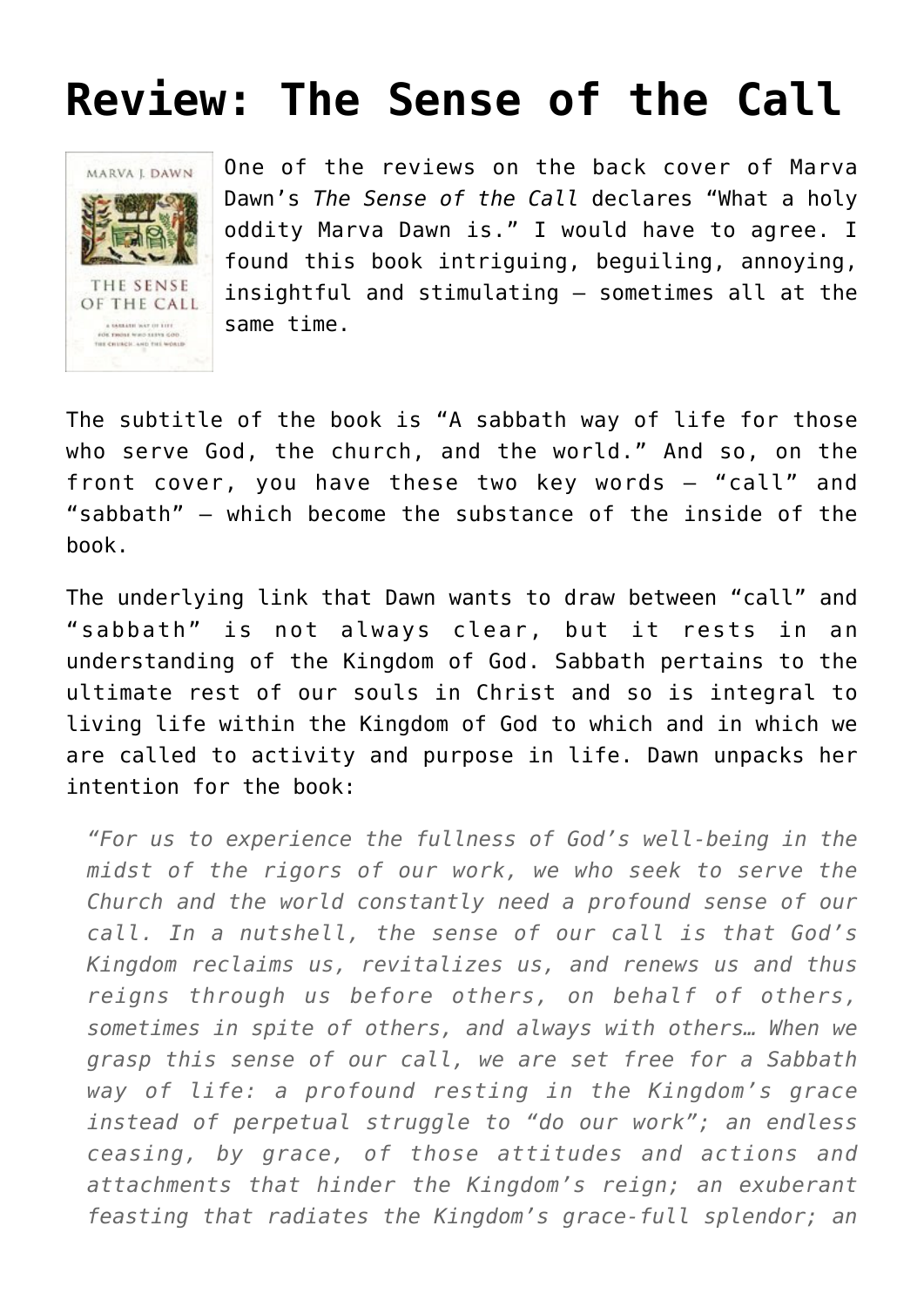# **[Review: The Sense of the Call](https://briggs.id.au/jour/2008/05/the-sense-of-the-call-review/)**



One of the reviews on the back cover of Marva Dawn's *[The Sense of the Call](http://orders.koorong.com/search/details.jhtml?code=0802844596)* declares "What a holy oddity Marva Dawn is." I would have to agree. I found this book intriguing, beguiling, annoying, insightful and stimulating – sometimes all at the same time.

The subtitle of the book is "A sabbath way of life for those who serve God, the church, and the world." And so, on the front cover, you have these two key words – "call" and "sabbath" – which become the substance of the inside of the book.

The underlying link that Dawn wants to draw between "call" and "sabbath" is not always clear, but it rests in an understanding of the Kingdom of God. Sabbath pertains to the ultimate rest of our souls in Christ and so is integral to living life within the Kingdom of God to which and in which we are called to activity and purpose in life. Dawn unpacks her intention for the book:

*"For us to experience the fullness of God's well-being in the midst of the rigors of our work, we who seek to serve the Church and the world constantly need a profound sense of our call. In a nutshell, the sense of our call is that God's Kingdom reclaims us, revitalizes us, and renews us and thus reigns through us before others, on behalf of others, sometimes in spite of others, and always with others… When we grasp this sense of our call, we are set free for a Sabbath way of life: a profound resting in the Kingdom's grace instead of perpetual struggle to "do our work"; an endless ceasing, by grace, of those attitudes and actions and attachments that hinder the Kingdom's reign; an exuberant feasting that radiates the Kingdom's grace-full splendor; an*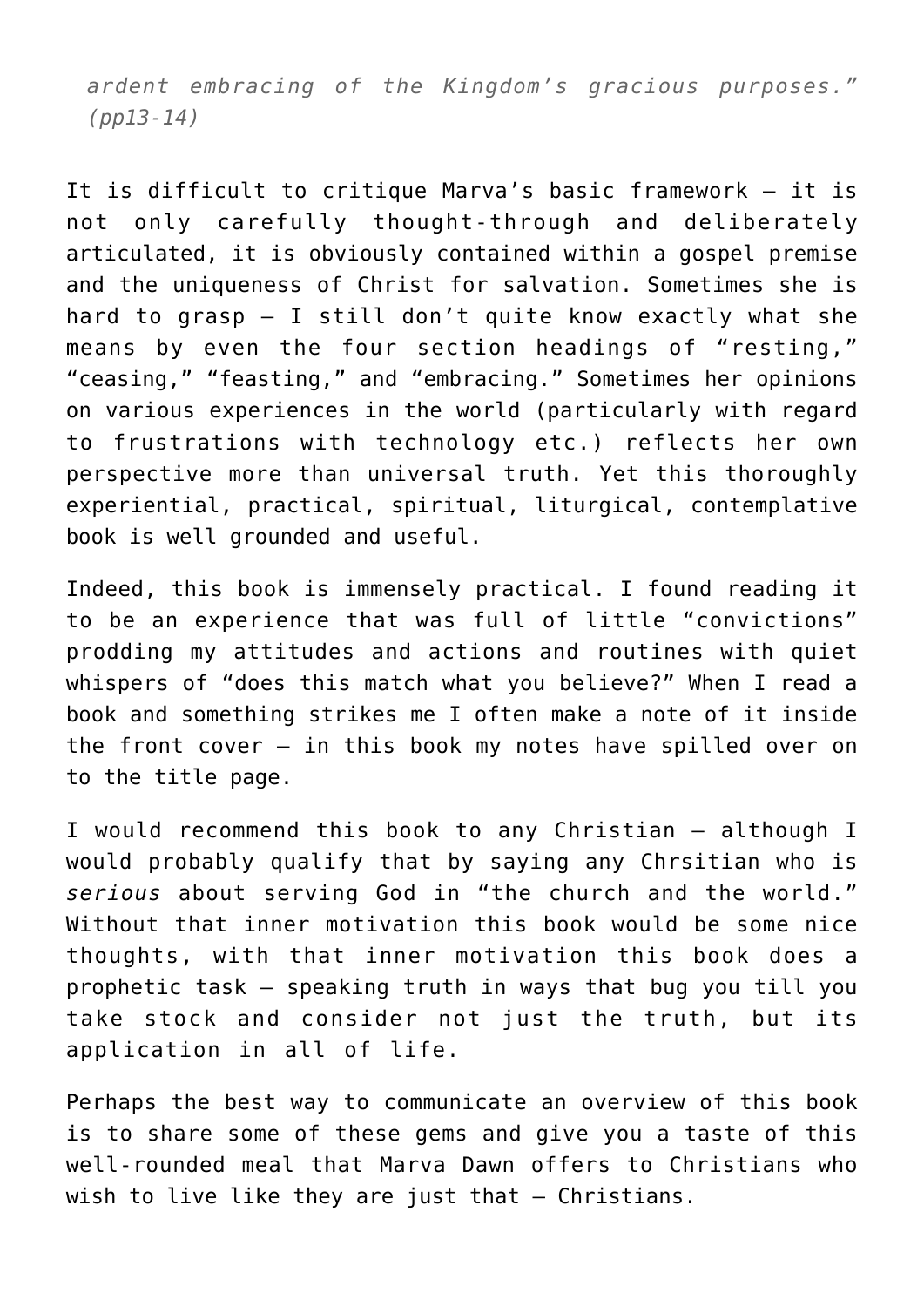*ardent embracing of the Kingdom's gracious purposes." (pp13-14)*

It is difficult to critique Marva's basic framework – it is not only carefully thought-through and deliberately articulated, it is obviously contained within a gospel premise and the uniqueness of Christ for salvation. Sometimes she is hard to grasp – I still don't quite know exactly what she means by even the four section headings of "resting," "ceasing," "feasting," and "embracing." Sometimes her opinions on various experiences in the world (particularly with regard to frustrations with technology etc.) reflects her own perspective more than universal truth. Yet this thoroughly experiential, practical, spiritual, liturgical, contemplative book is well grounded and useful.

Indeed, this book is immensely practical. I found reading it to be an experience that was full of little "convictions" prodding my attitudes and actions and routines with quiet whispers of "does this match what you believe?" When I read a book and something strikes me I often make a note of it inside the front cover – in this book my notes have spilled over on to the title page.

I would recommend this book to any Christian – although I would probably qualify that by saying any Chrsitian who is *serious* about serving God in "the church and the world." Without that inner motivation this book would be some nice thoughts, with that inner motivation this book does a prophetic task – speaking truth in ways that bug you till you take stock and consider not just the truth, but its application in all of life.

Perhaps the best way to communicate an overview of this book is to share some of these gems and give you a taste of this well-rounded meal that Marva Dawn offers to Christians who wish to live like they are just that - Christians.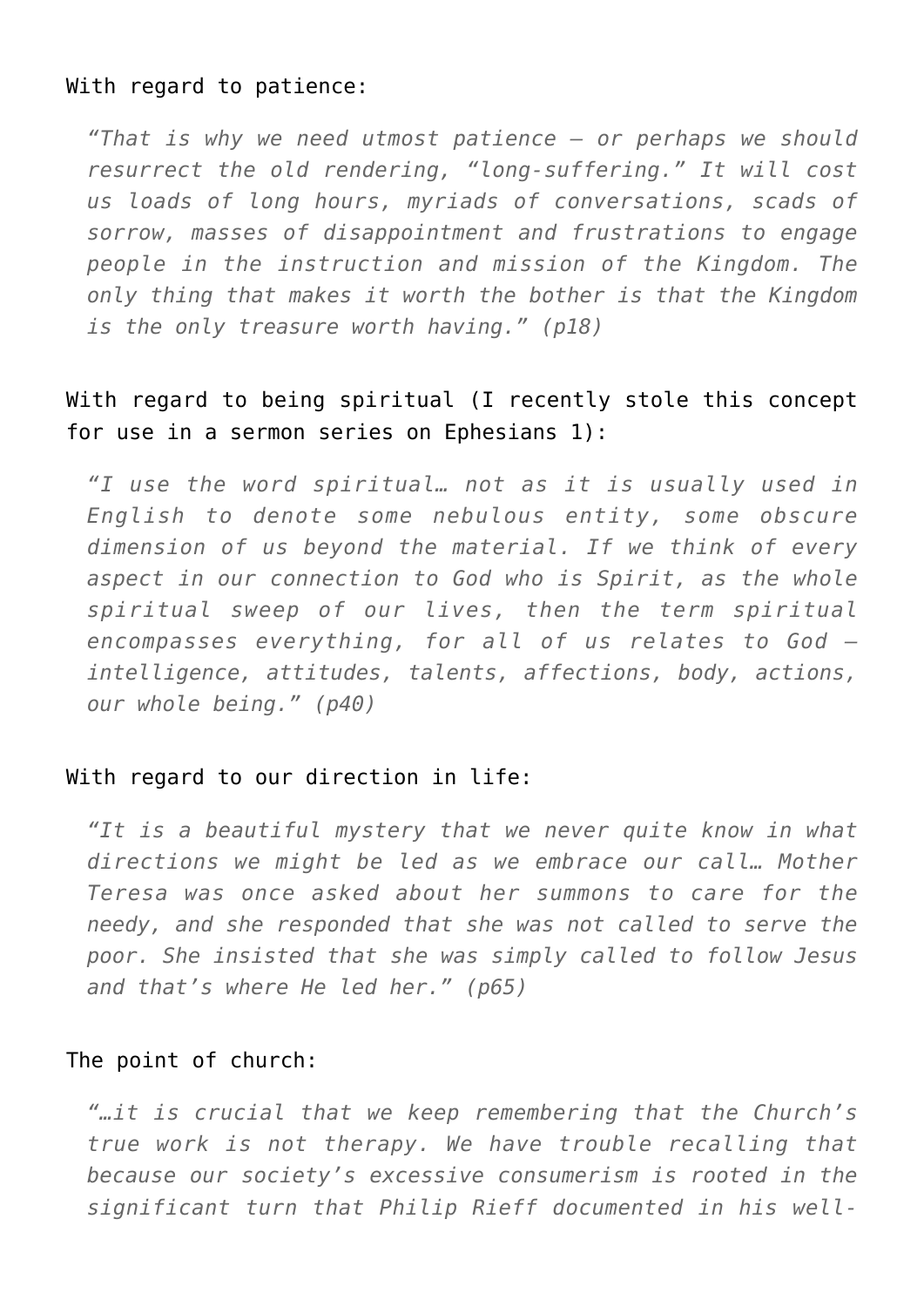#### With regard to patience:

*"That is why we need utmost patience – or perhaps we should resurrect the old rendering, "long-suffering." It will cost us loads of long hours, myriads of conversations, scads of sorrow, masses of disappointment and frustrations to engage people in the instruction and mission of the Kingdom. The only thing that makes it worth the bother is that the Kingdom is the only treasure worth having." (p18)*

## With regard to being spiritual (I recently stole this concept for use in a sermon series on Ephesians 1):

*"I use the word spiritual… not as it is usually used in English to denote some nebulous entity, some obscure dimension of us beyond the material. If we think of every aspect in our connection to God who is Spirit, as the whole spiritual sweep of our lives, then the term spiritual encompasses everything, for all of us relates to God – intelligence, attitudes, talents, affections, body, actions, our whole being." (p40)*

## With regard to our direction in life:

*"It is a beautiful mystery that we never quite know in what directions we might be led as we embrace our call… Mother Teresa was once asked about her summons to care for the needy, and she responded that she was not called to serve the poor. She insisted that she was simply called to follow Jesus and that's where He led her." (p65)*

#### The point of church:

*"…it is crucial that we keep remembering that the Church's true work is not therapy. We have trouble recalling that because our society's excessive consumerism is rooted in the significant turn that Philip Rieff documented in his well-*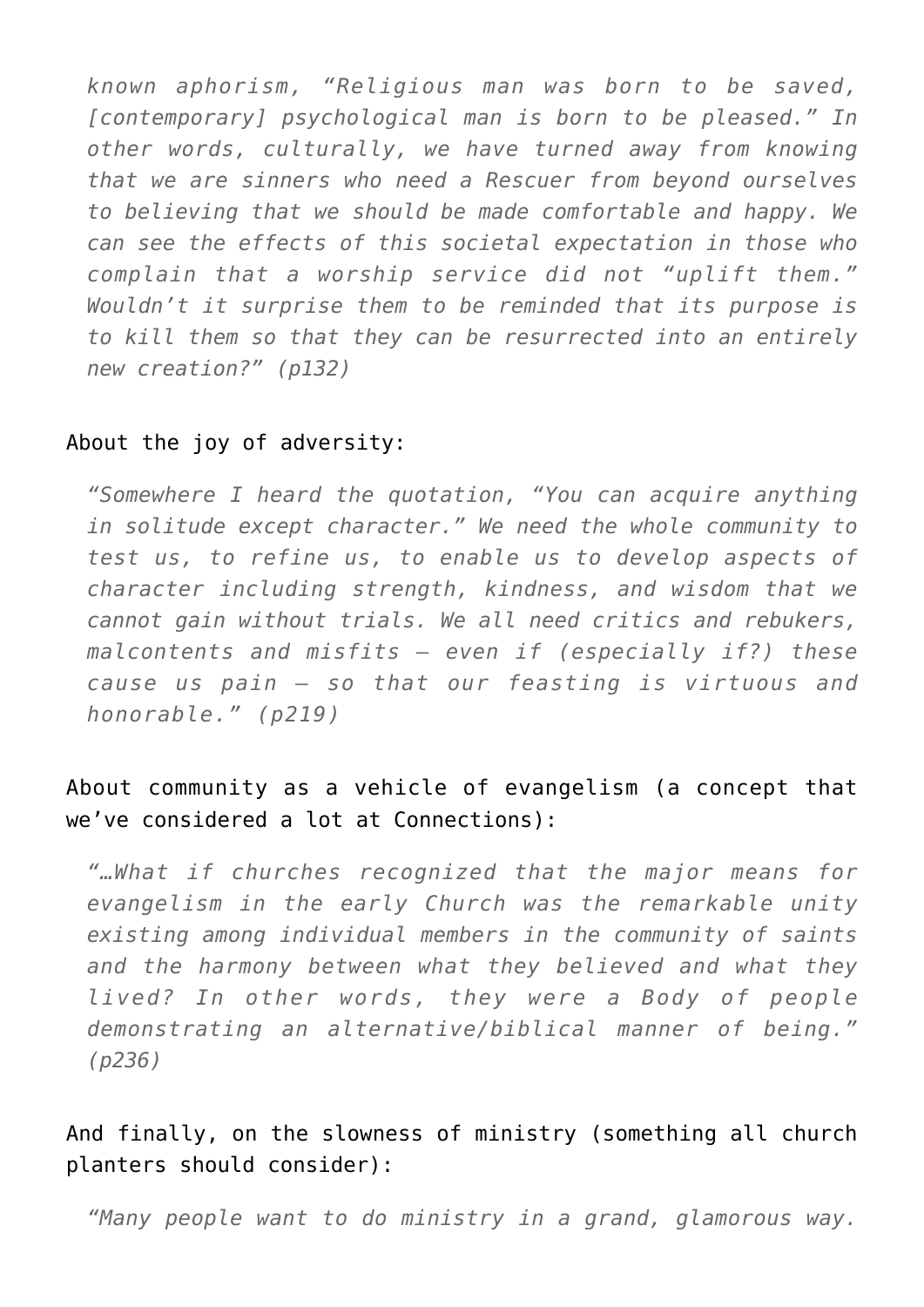*known aphorism, "Religious man was born to be saved, [contemporary] psychological man is born to be pleased." In other words, culturally, we have turned away from knowing that we are sinners who need a Rescuer from beyond ourselves to believing that we should be made comfortable and happy. We can see the effects of this societal expectation in those who complain that a worship service did not "uplift them." Wouldn't it surprise them to be reminded that its purpose is to kill them so that they can be resurrected into an entirely new creation?" (p132)*

### About the joy of adversity:

*"Somewhere I heard the quotation, "You can acquire anything in solitude except character." We need the whole community to test us, to refine us, to enable us to develop aspects of character including strength, kindness, and wisdom that we cannot gain without trials. We all need critics and rebukers, malcontents and misfits – even if (especially if?) these cause us pain – so that our feasting is virtuous and honorable." (p219)*

# About community as a vehicle of evangelism (a concept that we've considered a lot at Connections):

*"…What if churches recognized that the major means for evangelism in the early Church was the remarkable unity existing among individual members in the community of saints and the harmony between what they believed and what they lived? In other words, they were a Body of people demonstrating an alternative/biblical manner of being." (p236)*

And finally, on the slowness of ministry (something all church planters should consider):

*"Many people want to do ministry in a grand, glamorous way.*